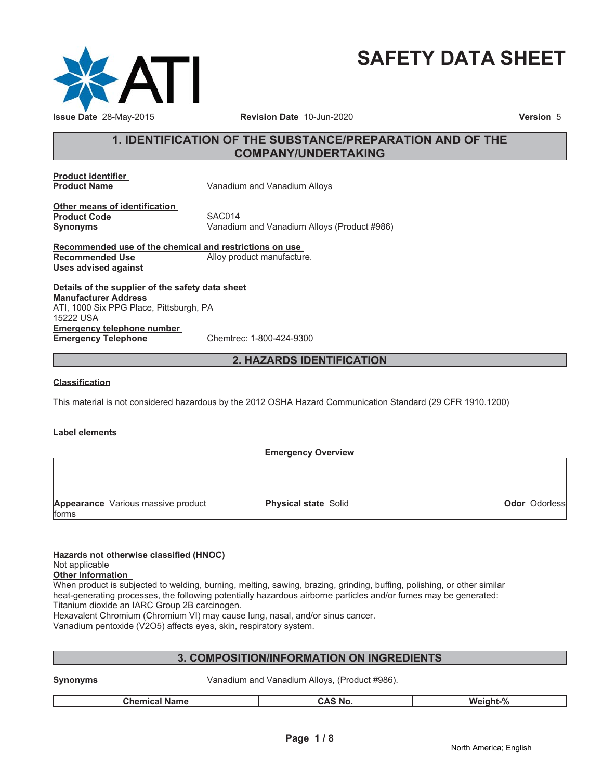

# **SAFETY DATA SHEET**

# **1. IDENTIFICATION OF THE SUBSTANCE/PREPARATION AND OF THE COMPANY/UNDERTAKING**

**Product identifier**

**Vanadium and Vanadium Alloys** 

**Other means of identification Product Code** SAC014<br> **Synonyms** Vanadiur

Vanadium and Vanadium Alloys (Product #986)

**Recommended use of the chemical and restrictions on use Recommended Use** Alloy product manufacture. **Uses advised against**

**Details of the supplier of the safety data sheet Emergency telephone number Emergency Telephone** Chemtrec: 1-800-424-9300 **Manufacturer Address** ATI, 1000 Six PPG Place, Pittsburgh, PA 15222 USA

# **2. HAZARDS IDENTIFICATION**

### **Classification**

This material is not considered hazardous by the 2012 OSHA Hazard Communication Standard (29 CFR 1910.1200)

### **Label elements**

|       |                                    | <b>Emergency Overview</b>   |                      |
|-------|------------------------------------|-----------------------------|----------------------|
|       |                                    |                             |                      |
|       |                                    |                             |                      |
|       |                                    |                             |                      |
|       | Appearance Various massive product | <b>Physical state Solid</b> | <b>Odor Odorless</b> |
| forms |                                    |                             |                      |

**Hazards not otherwise classified (HNOC)**

### Not applicable

**Other Information**

When product is subjected to welding, burning, melting, sawing, brazing, grinding, buffing, polishing, or other similar heat-generating processes, the following potentially hazardous airborne particles and/or fumes may be generated: Titanium dioxide an IARC Group 2B carcinogen.

Hexavalent Chromium (Chromium VI) may cause lung, nasal, and/or sinus cancer.

Vanadium pentoxide (V2O5) affects eyes, skin, respiratory system.

# **3. COMPOSITION/INFORMATION ON INGREDIENTS**

| Synonyms |                      | Vanadium and Vanadium Alloys, (Product #986). |                |          |
|----------|----------------------|-----------------------------------------------|----------------|----------|
|          | <b>Chemical Name</b> |                                               | <b>CAS No.</b> | Weight-% |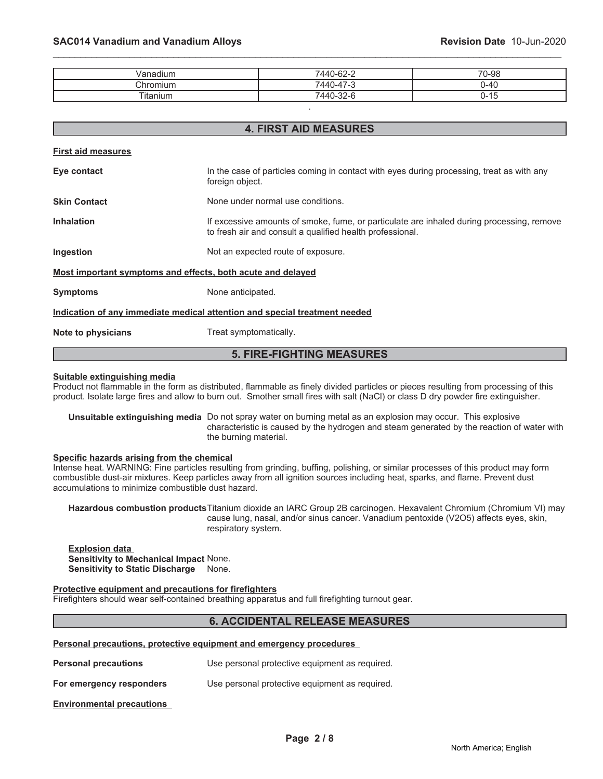| $\cdots$<br>√anadıum  | -<br>$\sim$<br>$\epsilon$<br>ہ۔۔62-1440                                             | 70-98                                          |
|-----------------------|-------------------------------------------------------------------------------------|------------------------------------------------|
| Chromium              | $\overline{\phantom{a}}$<br>$\overline{\phantom{a}}$<br>. 440 ،<br>$\sim$<br>U-47-0 | .                                              |
| $-$<br><b>Itanium</b> | ⇁<br>$\Omega$<br>7440-32-6                                                          | <br>$\overline{ }$<br>$\overline{\phantom{a}}$ |

.

\_\_\_\_\_\_\_\_\_\_\_\_\_\_\_\_\_\_\_\_\_\_\_\_\_\_\_\_\_\_\_\_\_\_\_\_\_\_\_\_\_\_\_\_\_\_\_\_\_\_\_\_\_\_\_\_\_\_\_\_\_\_\_\_\_\_\_\_\_\_\_\_\_\_\_\_\_\_\_\_\_\_\_\_\_\_\_\_\_\_\_\_\_

| <b>4. FIRST AID MEASURES</b>                                |                                                                                                                                                        |  |
|-------------------------------------------------------------|--------------------------------------------------------------------------------------------------------------------------------------------------------|--|
| <b>First aid measures</b>                                   |                                                                                                                                                        |  |
| Eye contact                                                 | In the case of particles coming in contact with eyes during processing, treat as with any<br>foreign object.                                           |  |
| <b>Skin Contact</b>                                         | None under normal use conditions.                                                                                                                      |  |
| <b>Inhalation</b>                                           | If excessive amounts of smoke, fume, or particulate are inhaled during processing, remove<br>to fresh air and consult a qualified health professional. |  |
| Ingestion                                                   | Not an expected route of exposure.                                                                                                                     |  |
| Most important symptoms and effects, both acute and delayed |                                                                                                                                                        |  |
| <b>Symptoms</b>                                             | None anticipated.                                                                                                                                      |  |
|                                                             | Indication of any immediate medical attention and special treatment needed                                                                             |  |
| Note to physicians                                          | Treat symptomatically.                                                                                                                                 |  |

# **5. FIRE-FIGHTING MEASURES**

#### **Suitable extinguishing media**

Product not flammable in the form as distributed, flammable as finely divided particles or pieces resulting from processing of this product. Isolate large fires and allow to burn out. Smother small fires with salt (NaCl) or class D dry powder fire extinguisher.

**Unsuitable extinguishing media** Do not spray water on burning metal as an explosion may occur. This explosive characteristic is caused by the hydrogen and steam generated by the reaction of water with the burning material.

#### **Specific hazards arising from the chemical**

Intense heat. WARNING: Fine particles resulting from grinding, buffing, polishing, or similar processes of this product may form combustible dust-air mixtures. Keep particles away from all ignition sources including heat, sparks, and flame. Prevent dust accumulations to minimize combustible dust hazard.

**Hazardous combustion products**Titanium dioxide an IARC Group 2B carcinogen. Hexavalent Chromium (Chromium VI) may cause lung, nasal, and/or sinus cancer. Vanadium pentoxide (V2O5) affects eyes, skin, respiratory system.

**Explosion data Sensitivity to Mechanical Impact** None. **Sensitivity to Static Discharge** None.

#### **Protective equipment and precautions for firefighters**

Firefighters should wear self-contained breathing apparatus and full firefighting turnout gear.

# **6. ACCIDENTAL RELEASE MEASURES**

#### **Personal precautions, protective equipment and emergency procedures**

| <b>Personal precautions</b> | Use personal protective equipment as required. |
|-----------------------------|------------------------------------------------|
|-----------------------------|------------------------------------------------|

**For emergency responders** Use personal protective equipment as required.

**Environmental precautions**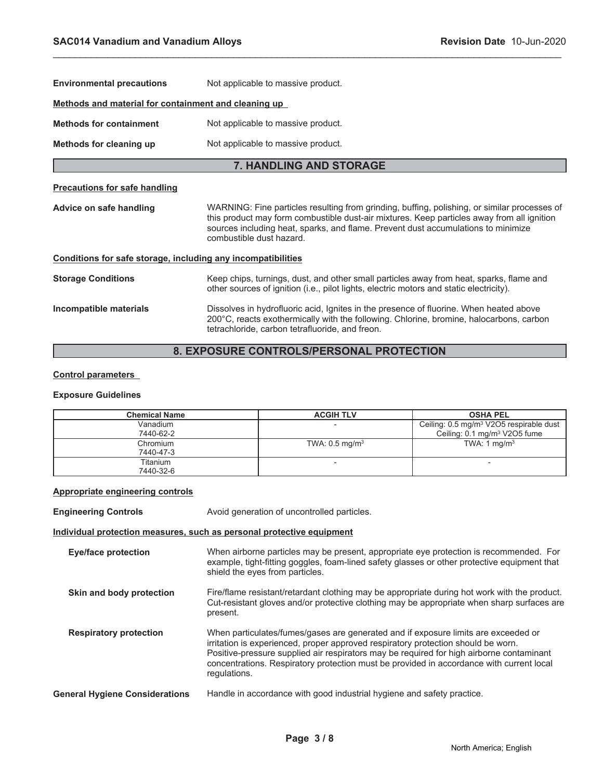| <b>Environmental precautions</b>                             | Not applicable to massive product.                                                                                                                                                                                                                                                                          |  |  |
|--------------------------------------------------------------|-------------------------------------------------------------------------------------------------------------------------------------------------------------------------------------------------------------------------------------------------------------------------------------------------------------|--|--|
| Methods and material for containment and cleaning up         |                                                                                                                                                                                                                                                                                                             |  |  |
| <b>Methods for containment</b>                               | Not applicable to massive product.                                                                                                                                                                                                                                                                          |  |  |
| Methods for cleaning up                                      | Not applicable to massive product.                                                                                                                                                                                                                                                                          |  |  |
|                                                              | <b>7. HANDLING AND STORAGE</b>                                                                                                                                                                                                                                                                              |  |  |
| <b>Precautions for safe handling</b>                         |                                                                                                                                                                                                                                                                                                             |  |  |
| Advice on safe handling                                      | WARNING: Fine particles resulting from grinding, buffing, polishing, or similar processes of<br>this product may form combustible dust-air mixtures. Keep particles away from all ignition<br>sources including heat, sparks, and flame. Prevent dust accumulations to minimize<br>combustible dust hazard. |  |  |
| Conditions for safe storage, including any incompatibilities |                                                                                                                                                                                                                                                                                                             |  |  |
| <b>Storage Conditions</b>                                    | Keep chips, turnings, dust, and other small particles away from heat, sparks, flame and<br>other sources of ignition (i.e., pilot lights, electric motors and static electricity).                                                                                                                          |  |  |
| Incompatible materials                                       | Dissolves in hydrofluoric acid, Ignites in the presence of fluorine. When heated above<br>200°C, reacts exothermically with the following. Chlorine, bromine, halocarbons, carbon<br>tetrachloride, carbon tetrafluoride, and freon.                                                                        |  |  |
| <b>8. EXPOSURE CONTROLS/PERSONAL PROTECTION</b>              |                                                                                                                                                                                                                                                                                                             |  |  |

\_\_\_\_\_\_\_\_\_\_\_\_\_\_\_\_\_\_\_\_\_\_\_\_\_\_\_\_\_\_\_\_\_\_\_\_\_\_\_\_\_\_\_\_\_\_\_\_\_\_\_\_\_\_\_\_\_\_\_\_\_\_\_\_\_\_\_\_\_\_\_\_\_\_\_\_\_\_\_\_\_\_\_\_\_\_\_\_\_\_\_\_\_

# **8. EXPOSURE CONTROLS/PERSONAL PROTECTION**

# **Control parameters**

# **Exposure Guidelines**

| <b>Chemical Name</b>  | <b>ACGIH TLV</b>             | <b>OSHA PEL</b>                                                                                 |
|-----------------------|------------------------------|-------------------------------------------------------------------------------------------------|
| Vanadium<br>7440-62-2 |                              | Ceiling: 0.5 mg/m <sup>3</sup> V2O5 respirable dust<br>Ceiling: 0.1 mg/m <sup>3</sup> V2O5 fume |
| Chromium<br>7440-47-3 | TWA: $0.5$ mg/m <sup>3</sup> | TWA: 1 $mq/m3$                                                                                  |
| Titanium<br>7440-32-6 |                              |                                                                                                 |

# **Appropriate engineering controls**

| <b>Engineering Controls</b>           | Avoid generation of uncontrolled particles.                                                                                                                                                                                                                                                                                                                                     |  |
|---------------------------------------|---------------------------------------------------------------------------------------------------------------------------------------------------------------------------------------------------------------------------------------------------------------------------------------------------------------------------------------------------------------------------------|--|
|                                       | Individual protection measures, such as personal protective equipment                                                                                                                                                                                                                                                                                                           |  |
| <b>Eye/face protection</b>            | When airborne particles may be present, appropriate eye protection is recommended. For<br>example, tight-fitting goggles, foam-lined safety glasses or other protective equipment that<br>shield the eyes from particles.                                                                                                                                                       |  |
| Skin and body protection              | Fire/flame resistant/retardant clothing may be appropriate during hot work with the product.<br>Cut-resistant gloves and/or protective clothing may be appropriate when sharp surfaces are<br>present.                                                                                                                                                                          |  |
| <b>Respiratory protection</b>         | When particulates/fumes/gases are generated and if exposure limits are exceeded or<br>irritation is experienced, proper approved respiratory protection should be worn.<br>Positive-pressure supplied air respirators may be required for high airborne contaminant<br>concentrations. Respiratory protection must be provided in accordance with current local<br>regulations. |  |
| <b>General Hygiene Considerations</b> | Handle in accordance with good industrial hygiene and safety practice.                                                                                                                                                                                                                                                                                                          |  |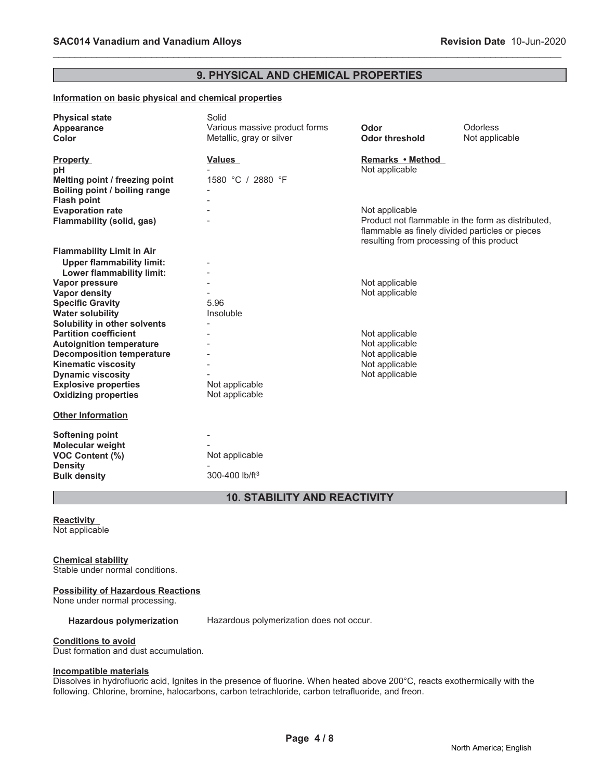# **9. PHYSICAL AND CHEMICAL PROPERTIES**

\_\_\_\_\_\_\_\_\_\_\_\_\_\_\_\_\_\_\_\_\_\_\_\_\_\_\_\_\_\_\_\_\_\_\_\_\_\_\_\_\_\_\_\_\_\_\_\_\_\_\_\_\_\_\_\_\_\_\_\_\_\_\_\_\_\_\_\_\_\_\_\_\_\_\_\_\_\_\_\_\_\_\_\_\_\_\_\_\_\_\_\_\_

### **Information on basic physical and chemical properties**

| <b>Physical state</b>            | Solid                         |                                                   |                |
|----------------------------------|-------------------------------|---------------------------------------------------|----------------|
| Appearance                       | Various massive product forms | Odor                                              | Odorless       |
| Color                            | Metallic, gray or silver      | <b>Odor threshold</b>                             | Not applicable |
|                                  |                               |                                                   |                |
| <b>Property</b>                  | <b>Values</b>                 | Remarks • Method                                  |                |
| рH                               |                               | Not applicable                                    |                |
| Melting point / freezing point   | 1580 °C / 2880 °F             |                                                   |                |
| Boiling point / boiling range    |                               |                                                   |                |
| <b>Flash point</b>               |                               |                                                   |                |
| <b>Evaporation rate</b>          |                               | Not applicable                                    |                |
| Flammability (solid, gas)        |                               | Product not flammable in the form as distributed. |                |
|                                  |                               | flammable as finely divided particles or pieces   |                |
|                                  |                               | resulting from processing of this product         |                |
| <b>Flammability Limit in Air</b> |                               |                                                   |                |
| <b>Upper flammability limit:</b> |                               |                                                   |                |
| Lower flammability limit:        |                               |                                                   |                |
| Vapor pressure                   |                               | Not applicable                                    |                |
| <b>Vapor density</b>             |                               | Not applicable                                    |                |
| <b>Specific Gravity</b>          | 5.96                          |                                                   |                |
| <b>Water solubility</b>          | Insoluble                     |                                                   |                |
| Solubility in other solvents     |                               |                                                   |                |
| <b>Partition coefficient</b>     |                               | Not applicable                                    |                |
| <b>Autoignition temperature</b>  |                               | Not applicable                                    |                |
| <b>Decomposition temperature</b> |                               | Not applicable                                    |                |
| <b>Kinematic viscosity</b>       |                               | Not applicable                                    |                |
| <b>Dynamic viscosity</b>         |                               | Not applicable                                    |                |
| <b>Explosive properties</b>      | Not applicable                |                                                   |                |
| <b>Oxidizing properties</b>      | Not applicable                |                                                   |                |
|                                  |                               |                                                   |                |
| <b>Other Information</b>         |                               |                                                   |                |
|                                  |                               |                                                   |                |
| <b>Softening point</b>           |                               |                                                   |                |
| Molecular weight                 |                               |                                                   |                |
| VOC Content (%)                  | Not applicable                |                                                   |                |
| <b>Density</b>                   |                               |                                                   |                |
| <b>Bulk density</b>              | 300-400 lb/ft <sup>3</sup>    |                                                   |                |
|                                  |                               |                                                   |                |

# **10. STABILITY AND REACTIVITY**

#### **Reactivity** Not applicable

#### **Chemical stability**

Stable under normal conditions.

#### **Possibility of Hazardous Reactions**

None under normal processing.

Hazardous polymerization Hazardous polymerization does not occur.

#### **Conditions to avoid**

Dust formation and dust accumulation.

#### **Incompatible materials**

Dissolves in hydrofluoric acid, Ignites in the presence of fluorine. When heated above 200°C, reacts exothermically with the following. Chlorine, bromine, halocarbons, carbon tetrachloride, carbon tetrafluoride, and freon.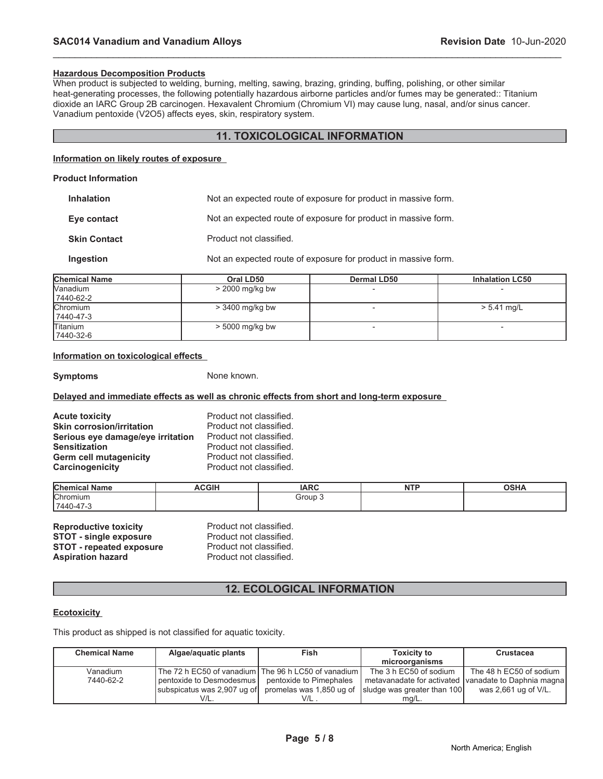#### **Hazardous Decomposition Products**

When product is subjected to welding, burning, melting, sawing, brazing, grinding, buffing, polishing, or other similar heat-generating processes, the following potentially hazardous airborne particles and/or fumes may be generated:: Titanium dioxide an IARC Group 2B carcinogen. Hexavalent Chromium (Chromium VI) may cause lung, nasal, and/or sinus cancer. Vanadium pentoxide (V2O5) affects eyes, skin, respiratory system.

# **11. TOXICOLOGICAL INFORMATION**

\_\_\_\_\_\_\_\_\_\_\_\_\_\_\_\_\_\_\_\_\_\_\_\_\_\_\_\_\_\_\_\_\_\_\_\_\_\_\_\_\_\_\_\_\_\_\_\_\_\_\_\_\_\_\_\_\_\_\_\_\_\_\_\_\_\_\_\_\_\_\_\_\_\_\_\_\_\_\_\_\_\_\_\_\_\_\_\_\_\_\_\_\_

#### **Information on likely routes of exposure**

| <b>Product Information</b> |                                                                |  |
|----------------------------|----------------------------------------------------------------|--|
| <b>Inhalation</b>          | Not an expected route of exposure for product in massive form. |  |
| Eye contact                | Not an expected route of exposure for product in massive form. |  |
| <b>Skin Contact</b>        | Product not classified.                                        |  |
| Ingestion                  | Not an expected route of exposure for product in massive form. |  |
|                            |                                                                |  |

| <b>Chemical Name</b>          | Oral LD50         | <b>Dermal LD50</b> | <b>Inhalation LC50</b>   |
|-------------------------------|-------------------|--------------------|--------------------------|
| <b>Nanadium</b><br>7440-62-2  | $>$ 2000 mg/kg bw |                    |                          |
| <b>Chromium</b><br>17440-47-3 | $>$ 3400 mg/kg bw |                    | $> 5.41$ mg/L            |
| <b>Titanium</b><br>7440-32-6  | $> 5000$ mg/kg bw |                    | $\overline{\phantom{0}}$ |

# **Information on toxicological effects**

**Symptoms** None known.

### **Delayed and immediate effects as well as chronic effects from short and long-term exposure**

| <b>Acute toxicity</b>             | Product not classified. |
|-----------------------------------|-------------------------|
| <b>Skin corrosion/irritation</b>  | Product not classified. |
| Serious eye damage/eye irritation | Product not classified. |
| <b>Sensitization</b>              | Product not classified. |
| <b>Germ cell mutagenicity</b>     | Product not classified. |
| Carcinogenicity                   | Product not classified. |

| <b>Chemical Name</b> | <b>ACGIH</b> | <b>IARC</b> | <b>NITE</b><br>. | $\sim$ u $\sim$<br>שרט |
|----------------------|--------------|-------------|------------------|------------------------|
| <b>Chromium</b>      |              | Group 1     |                  |                        |
| 7440-47-5            |              |             |                  |                        |

| <b>Reproductive toxicity</b>    | Product not classified. |
|---------------------------------|-------------------------|
| <b>STOT - single exposure</b>   | Product not classified. |
| <b>STOT - repeated exposure</b> | Product not classified. |
| <b>Aspiration hazard</b>        | Product not classified. |

# **12. ECOLOGICAL INFORMATION**

### **Ecotoxicity**

This product as shipped is not classified for aquatic toxicity.

| <b>Chemical Name</b> | Algae/aquatic plants                                    | <b>Fish</b>              | <b>Toxicity to</b>          | <b>Crustacea</b>                                     |
|----------------------|---------------------------------------------------------|--------------------------|-----------------------------|------------------------------------------------------|
|                      |                                                         |                          | microorganisms              |                                                      |
| Vanadium             | The 72 h EC50 of vanadium I The 96 h LC50 of vanadium I |                          | The 3 h EC50 of sodium      | The 48 h EC50 of sodium                              |
| 7440-62-2            | pentoxide to Desmodesmus                                | pentoxide to Pimephales  |                             | metavanadate for activated vanadate to Daphnia magna |
|                      | subspicatus was 2,907 ug of                             | promelas was 1,850 ug of | sludge was greater than 100 | was 2,661 ug of V/L.                                 |
|                      | V/L.                                                    | $V/L$ .                  | mg/L.                       |                                                      |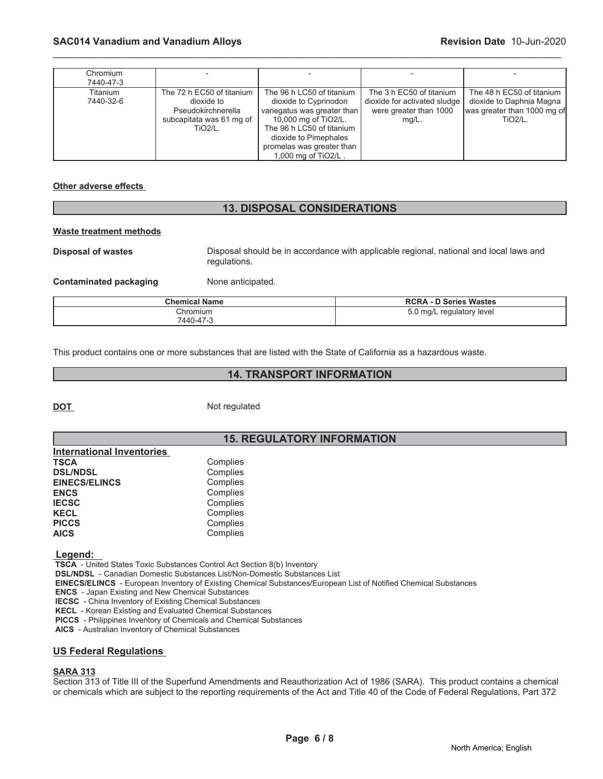| Chromium<br>7440-47-3 |                                                                                                             |                                                                                                                                                                                                                     |                                                                                                |                                                                                                        |
|-----------------------|-------------------------------------------------------------------------------------------------------------|---------------------------------------------------------------------------------------------------------------------------------------------------------------------------------------------------------------------|------------------------------------------------------------------------------------------------|--------------------------------------------------------------------------------------------------------|
| Titanium<br>7440-32-6 | The 72 h EC50 of titanium<br>dioxide to<br>Pseudokirchnerella<br>subcapitata was 61 mg of<br><b>TiO2/L.</b> | The 96 h LC50 of titanium<br>dioxide to Cyprinodon<br>variegatus was greater than<br>10,000 mg of TiO2/L.<br>The 96 h LC50 of titanium<br>dioxide to Pimephales<br>promelas was greater than<br>1,000 mg of TiO2/L. | The 3 h EC50 of titanium<br>dioxide for activated sludge<br>were greater than 1000<br>$mq/L$ . | The 48 h EC50 of titanium<br>dioxide to Daphnia Magna<br>was greater than 1000 mg of<br><b>TiO2/L.</b> |

\_\_\_\_\_\_\_\_\_\_\_\_\_\_\_\_\_\_\_\_\_\_\_\_\_\_\_\_\_\_\_\_\_\_\_\_\_\_\_\_\_\_\_\_\_\_\_\_\_\_\_\_\_\_\_\_\_\_\_\_\_\_\_\_\_\_\_\_\_\_\_\_\_\_\_\_\_\_\_\_\_\_\_\_\_\_\_\_\_\_\_\_\_

### **Other adverse effects**

# **13. DISPOSAL CONSIDERATIONS**

#### **Waste treatment methods**

**Disposal of wastes** Disposal should be in accordance with applicable regional, national and local laws and

regulations.

**Contaminated packaging Mone anticipated.** 

| <b>Chemical Name</b> | <b>RCRA - D Series Wastes</b>        |
|----------------------|--------------------------------------|
| Chromium             | 5.0 mg/L regulatory level<br>$\cdot$ |
| 7440-47-3            |                                      |

This product contains one or more substances that are listed with the State of California as a hazardous waste.

# **14. TRANSPORT INFORMATION**

**DOT** Not regulated

# **15. REGULATORY INFORMATION**

| Complies |
|----------|
| Complies |
| Complies |
| Complies |
| Complies |
| Complies |
| Complies |
| Complies |
|          |

 **Legend:** 

 **TSCA** - United States Toxic Substances Control Act Section 8(b) Inventory

 **DSL/NDSL** - Canadian Domestic Substances List/Non-Domestic Substances List

 **EINECS/ELINCS** - European Inventory of Existing Chemical Substances/European List of Notified Chemical Substances

 **ENCS** - Japan Existing and New Chemical Substances

 **IECSC** - China Inventory of Existing Chemical Substances

 **KECL** - Korean Existing and Evaluated Chemical Substances

 **PICCS** - Philippines Inventory of Chemicals and Chemical Substances

 **AICS** - Australian Inventory of Chemical Substances

# **US Federal Regulations**

# **SARA 313**

Section 313 of Title III of the Superfund Amendments and Reauthorization Act of 1986 (SARA). This product contains a chemical or chemicals which are subject to the reporting requirements of the Act and Title 40 of the Code of Federal Regulations, Part 372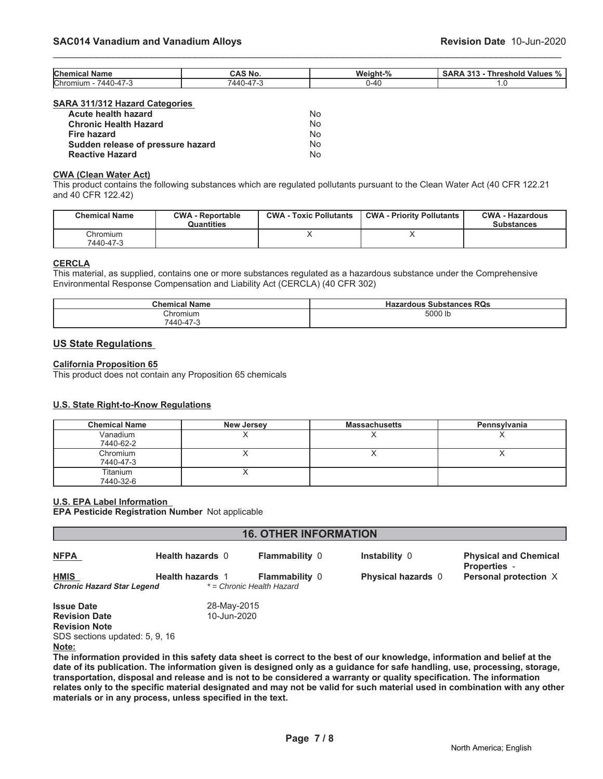| <b>Chen</b><br><b>Name</b><br>чиса.                                    | $\sim$ $\sim$<br><b>NO</b> | <b>Weight</b><br>$\sim$ | 242<br>∴nresholr'<br><b>Values</b><br>.<br>70 |
|------------------------------------------------------------------------|----------------------------|-------------------------|-----------------------------------------------|
| Chromiun<br>$\overline{\phantom{a}}$<br>440 ،<br>J-4 / -. <sup>.</sup> | $\rightarrow$              | $-4c$                   | $\cdot$                                       |

\_\_\_\_\_\_\_\_\_\_\_\_\_\_\_\_\_\_\_\_\_\_\_\_\_\_\_\_\_\_\_\_\_\_\_\_\_\_\_\_\_\_\_\_\_\_\_\_\_\_\_\_\_\_\_\_\_\_\_\_\_\_\_\_\_\_\_\_\_\_\_\_\_\_\_\_\_\_\_\_\_\_\_\_\_\_\_\_\_\_\_\_\_

#### **SARA 311/312 Hazard Categories**

| Acute health hazard               | No. |
|-----------------------------------|-----|
| <b>Chronic Health Hazard</b>      | No. |
| Fire hazard                       | No. |
| Sudden release of pressure hazard | No. |
| <b>Reactive Hazard</b>            | No. |

#### **CWA (Clean Water Act)**

This product contains the following substances which are regulated pollutants pursuant to the Clean Water Act (40 CFR 122.21 and 40 CFR 122.42)

| <b>Chemical Name</b>   | <b>CWA - Reportable</b><br>Quantities | <b>CWA - Toxic Pollutants</b> | <b>CWA - Priority Pollutants</b> | <b>CWA - Hazardous</b><br><b>Substances</b> |
|------------------------|---------------------------------------|-------------------------------|----------------------------------|---------------------------------------------|
| วิhromium<br>7440-47-3 |                                       |                               |                                  |                                             |

#### **CERCLA**

This material, as supplied, contains one or more substances regulated as a hazardous substance under the Comprehensive Environmental Response Compensation and Liability Act (CERCLA) (40 CFR 302)

| <b>Chemical Name</b> | <b>Substances RQs</b><br><b>Hazardous</b> |
|----------------------|-------------------------------------------|
| Chromium             | 5000 lb                                   |
| 7440-47-3            |                                           |

# **US State Regulations**

#### **California Proposition 65**

This product does not contain any Proposition 65 chemicals

### **U.S. State Right-to-Know Regulations**

| <b>Chemical Name</b>  | <b>New Jersey</b> | <b>Massachusetts</b> | Pennsylvania |
|-----------------------|-------------------|----------------------|--------------|
| Vanadium<br>7440-62-2 |                   |                      |              |
| Chromium<br>7440-47-3 |                   |                      |              |
| Titanium<br>7440-32-6 |                   |                      |              |

# **U.S. EPA Label Information**

**EPA Pesticide Registration Number** Not applicable

| <b>16. OTHER INFORMATION</b>                                                                                 |                            |                                                    |                           |                                                     |  |
|--------------------------------------------------------------------------------------------------------------|----------------------------|----------------------------------------------------|---------------------------|-----------------------------------------------------|--|
| <b>NFPA</b>                                                                                                  | <b>Health hazards 0</b>    | <b>Flammability 0</b>                              | Instability 0             | <b>Physical and Chemical</b><br><b>Properties -</b> |  |
| <b>HMIS</b><br><b>Chronic Hazard Star Legend</b>                                                             | <b>Health hazards 1</b>    | <b>Flammability 0</b><br>* = Chronic Health Hazard | <b>Physical hazards</b> 0 | Personal protection X                               |  |
| <b>Issue Date</b><br><b>Revision Date</b><br><b>Revision Note</b><br>SDS sections updated: 5, 9, 16<br>Note: | 28-May-2015<br>10-Jun-2020 |                                                    |                           |                                                     |  |

**The information provided in this safety data sheet is correct to the best of our knowledge, information and belief at the date of its publication. The information given is designed only as a guidance for safe handling, use, processing, storage, transportation, disposal and release and is not to be considered a warranty or quality specification. The information relates only to the specific material designated and may not be valid for such material used in combination with any other materials or in any process, unless specified in the text.**